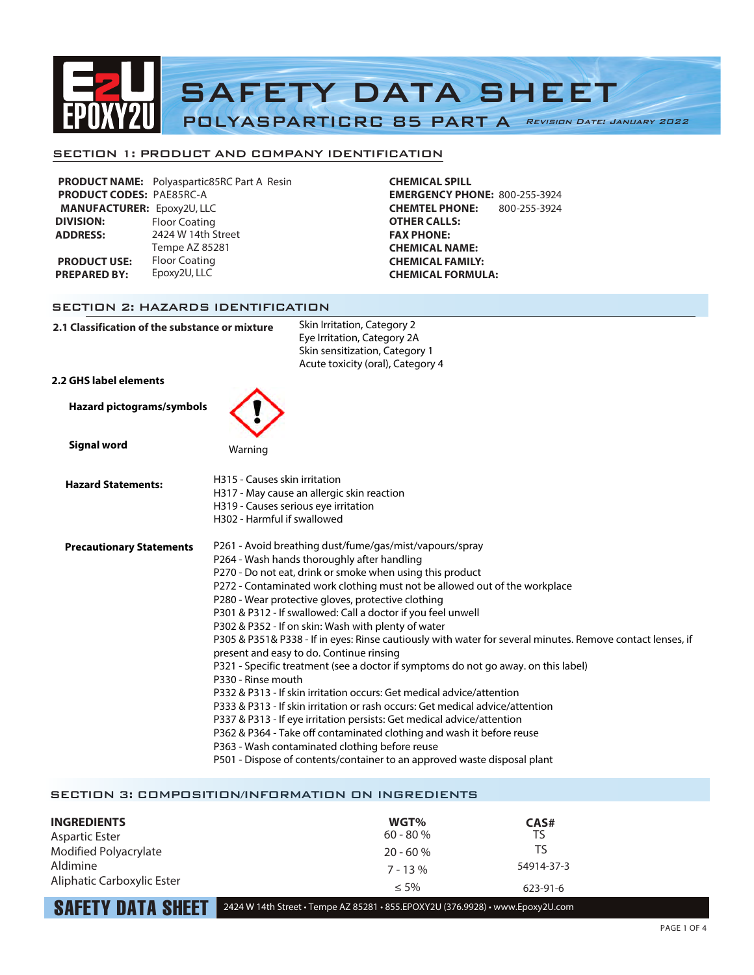

### SECTION 1: PRODUCT AND COMPANY IDENTIFICATION

|                                   | <b>PRODUCT NAME:</b> Polyaspartic85RC Part A Resin |
|-----------------------------------|----------------------------------------------------|
| <b>PRODUCT CODES: PAE85RC-A</b>   |                                                    |
| <b>MANUFACTURER: Epoxy2U, LLC</b> |                                                    |
| <b>DIVISION:</b>                  | <b>Floor Coating</b>                               |
| <b>ADDRESS:</b>                   | 2424 W 14th Street                                 |
|                                   | Tempe AZ 85281                                     |
| <b>PRODUCT USE:</b>               | <b>Floor Coating</b>                               |
| <b>PREPARED BY:</b>               | Epoxy2U, LLC                                       |
|                                   |                                                    |

**CHEMICAL SPILL EMERGENCY PHONE:** 800-255-3924 **CHEMTEL PHONE:** 800-255-3924 **OTHER CALLS: FAX PHONE: CHEMICAL NAME: CHEMICAL FAMILY: CHEMICAL FORMULA:**

# SECTION 2: HAZARDS IDENTIFICATION

| 2.1 Classification of the substance or mixture |                                                              | Skin Irritation, Category 2<br>Eye Irritation, Category 2A<br>Skin sensitization, Category 1<br>Acute toxicity (oral), Category 4                                                                                                                                                                                                                                                                                                                                                                                                                                                                                                                                                                                                                                                                                                                                                                                                                                                                                                                                                                                         |  |
|------------------------------------------------|--------------------------------------------------------------|---------------------------------------------------------------------------------------------------------------------------------------------------------------------------------------------------------------------------------------------------------------------------------------------------------------------------------------------------------------------------------------------------------------------------------------------------------------------------------------------------------------------------------------------------------------------------------------------------------------------------------------------------------------------------------------------------------------------------------------------------------------------------------------------------------------------------------------------------------------------------------------------------------------------------------------------------------------------------------------------------------------------------------------------------------------------------------------------------------------------------|--|
| 2.2 GHS label elements                         |                                                              |                                                                                                                                                                                                                                                                                                                                                                                                                                                                                                                                                                                                                                                                                                                                                                                                                                                                                                                                                                                                                                                                                                                           |  |
| <b>Hazard pictograms/symbols</b>               |                                                              |                                                                                                                                                                                                                                                                                                                                                                                                                                                                                                                                                                                                                                                                                                                                                                                                                                                                                                                                                                                                                                                                                                                           |  |
| <b>Signal word</b>                             | Warning                                                      |                                                                                                                                                                                                                                                                                                                                                                                                                                                                                                                                                                                                                                                                                                                                                                                                                                                                                                                                                                                                                                                                                                                           |  |
| <b>Hazard Statements:</b>                      | H315 - Causes skin irritation<br>H302 - Harmful if swallowed | H317 - May cause an allergic skin reaction<br>H319 - Causes serious eye irritation                                                                                                                                                                                                                                                                                                                                                                                                                                                                                                                                                                                                                                                                                                                                                                                                                                                                                                                                                                                                                                        |  |
| <b>Precautionary Statements</b>                | P330 - Rinse mouth                                           | P261 - Avoid breathing dust/fume/gas/mist/vapours/spray<br>P264 - Wash hands thoroughly after handling<br>P270 - Do not eat, drink or smoke when using this product<br>P272 - Contaminated work clothing must not be allowed out of the workplace<br>P280 - Wear protective gloves, protective clothing<br>P301 & P312 - If swallowed: Call a doctor if you feel unwell<br>P302 & P352 - If on skin: Wash with plenty of water<br>P305 & P351& P338 - If in eyes: Rinse cautiously with water for several minutes. Remove contact lenses, if<br>present and easy to do. Continue rinsing<br>P321 - Specific treatment (see a doctor if symptoms do not go away. on this label)<br>P332 & P313 - If skin irritation occurs: Get medical advice/attention<br>P333 & P313 - If skin irritation or rash occurs: Get medical advice/attention<br>P337 & P313 - If eye irritation persists: Get medical advice/attention<br>P362 & P364 - Take off contaminated clothing and wash it before reuse<br>P363 - Wash contaminated clothing before reuse<br>P501 - Dispose of contents/container to an approved waste disposal plant |  |

## SECTION 3: COMPOSITION/INFORMATION ON INGREDIENTS

| <b>INGREDIENTS</b><br>Aspartic Ester | WGT%<br>$60 - 80%$ | CAS#<br>TS |
|--------------------------------------|--------------------|------------|
| <b>Modified Polyacrylate</b>         | $20 - 60%$         | TS.        |
| Aldimine                             | $7 - 13\%$         | 54914-37-3 |
| Aliphatic Carboxylic Ester           | $<$ 5%             | 623-91-6   |

 $\textbf{SAFFTY}$  DATA  $\textbf{SHEIT}$  2424 W 14th Street • Tempe AZ 85281 • 855.EPOXY2U (376.9928) • www.Epoxy2U.com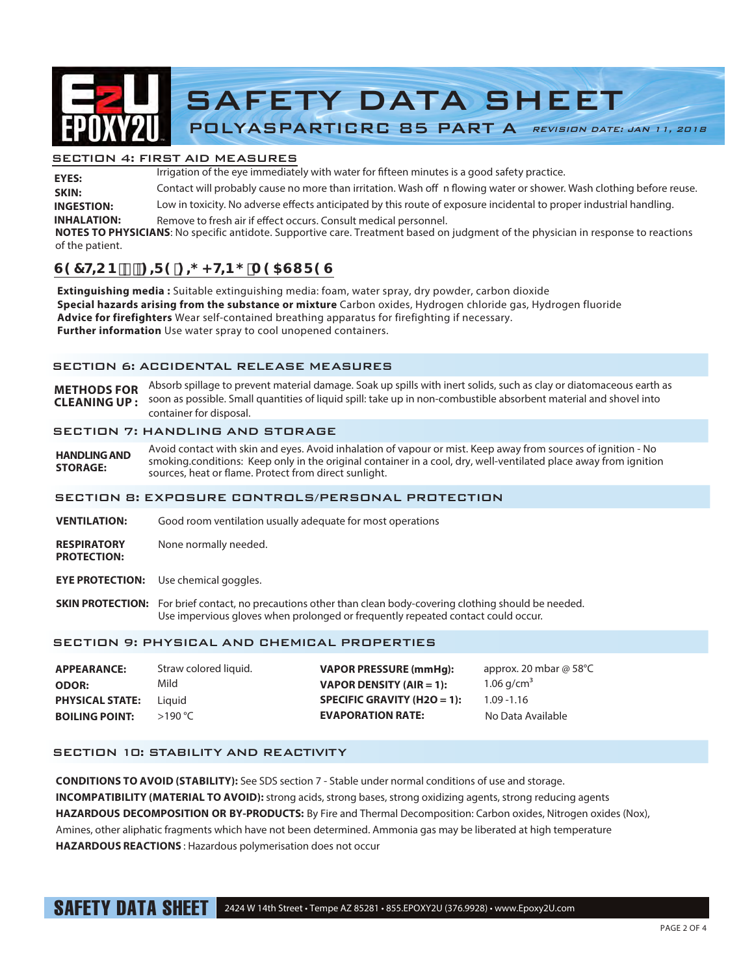

### SECTION 4: FIRST AID MEASURES

Irrigation of the eye immediately with water for fifteen minutes is a good safety practice. Contact will probably cause no more than irritation. Wash off n flowing water or shower. Wash clothing before reuse. Low in toxicity. No adverse effects anticipated by this route of exposure incidental to proper industrial handling. **INHALATION:** Remove to fresh air if effect occurs. Consult medical personnel. **INGESTION: SKIN: EYES: NOTES TO PHYSICIANS**: No specific antidote. Supportive care. Treatment based on judgment of the physician in response to reactions

#### of the patient.

# $G97HCB$ ):  $f = 9!$ ;  $\neq$  < HB; A 95GI F 9G

**Extinguishing media :** Suitable extinguishing media: foam, water spray, dry powder, carbon dioxide **Special hazards arising from the substance or mixture** Carbon oxides, Hydrogen chloride gas, Hydrogen fluoride **Advice for firefighters** Wear self-contained breathing apparatus for firefighting if necessary. **Further information** Use water spray to cool unopened containers.

### SECTION 6: ACCIDENTAL RELEASE MEASURES

**METHODS FOR** Absorb spillage to prevent material damage. Soak up spills with inert solids, such as clay or diatomaceous earth as soon as possible. Small quantities of liquid spill: take up in non-combustible absorbent material and shovel into container for disposal. **CLEANING UP :** 

### SECTION 7: HANDLING AND STORAGE

**HANDLING AND STORAGE:**  Avoid contact with skin and eyes. Avoid inhalation of vapour or mist. Keep away from sources of ignition - No smoking.conditions: Keep only in the original container in a cool, dry, well-ventilated place away from ignition sources, heat or flame. Protect from direct sunlight.

### SECTION 8: EXPOSURE CONTROLS/PERSONAL PROTECTION

- **VENTILATION:** Good room ventilation usually adequate for most operations
- **RESPIRATORY** None normally needed. **PROTECTION:**
- **EYE PROTECTION:** Use chemical goggles.
- **SKIN PROTECTION:** For brief contact, no precautions other than clean body-covering clothing should be needed. Use impervious gloves when prolonged or frequently repeated contact could occur.

#### SECTION 9: PHYSICAL AND CHEMICAL PROPERTIES

| <b>APPEARANCE:</b>     | Straw colored liquid. | <b>VAPOR PRESSURE (mmHq):</b> | approx. 20 mbar @ 58 $^{\circ}$ C |
|------------------------|-----------------------|-------------------------------|-----------------------------------|
| <b>ODOR:</b>           | Mild                  | VAPOR DENSITY (AIR = 1):      | 1.06 $q/cm^3$                     |
| <b>PHYSICAL STATE:</b> | Liauid                | SPECIFIC GRAVITY (H2O = 1):   | 1.09 - 1.16                       |
| <b>BOILING POINT:</b>  | >190 °C               | <b>EVAPORATION RATE:</b>      | No Data Available                 |

## SECTION 10: STABILITY AND REACTIVITY

**CONDITIONS TO AVOID (STABILITY):** See SDS section 7 - Stable under normal conditions of use and storage. **INCOMPATIBILITY (MATERIAL TO AVOID):** strong acids, strong bases, strong oxidizing agents, strong reducing agents **HAZARDOUS DECOMPOSITION OR BY-PRODUCTS:** By Fire and Thermal Decomposition: Carbon oxides, Nitrogen oxides (Nox), Amines, other aliphatic fragments which have not been determined. Ammonia gas may be liberated at high temperature **HAZARDOUS REACTIONS** : Hazardous polymerisation does not occur

SAFETY DATA SHEET 2424 W 14th Street • Tempe AZ 85281 • 855.EPOXY2U (376.9928) • www.Epoxy2U.com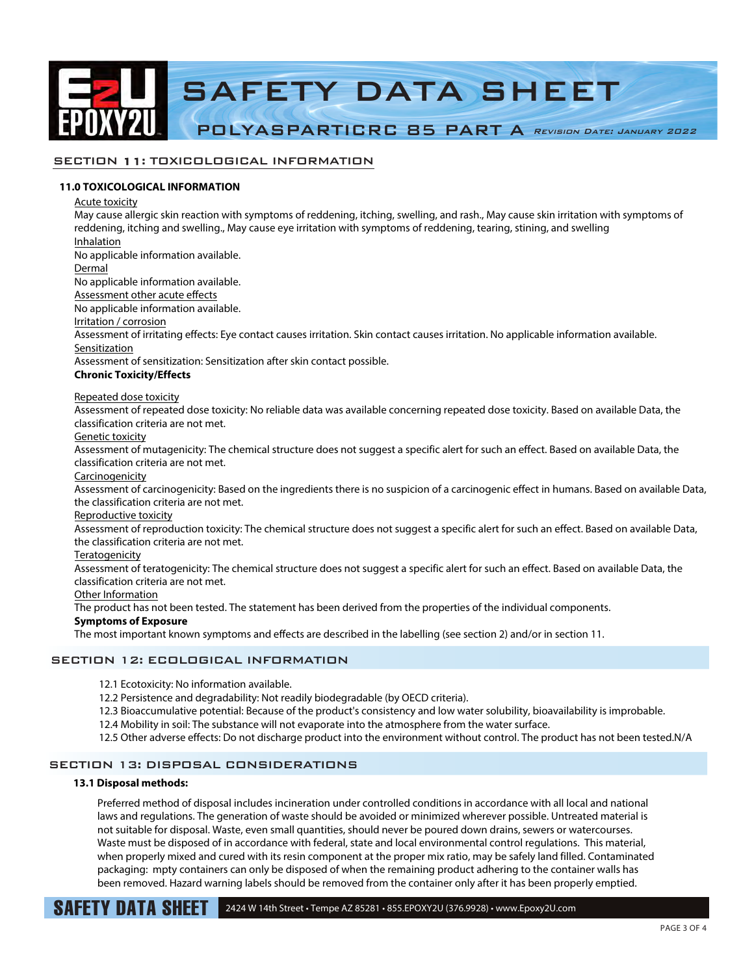

### SECTION 11: TOXICOLOGICAL INFORMATION

#### **11.0 TOXICOLOGICAL INFORMATION**

Acute toxicity May cause allergic skin reaction with symptoms of reddening, itching, swelling, and rash., May cause skin irritation with symptoms of reddening, itching and swelling., May cause eye irritation with symptoms of reddening, tearing, stining, and swelling Inhalation No applicable information available. Dermal No applicable information available. Assessment other acute effects No applicable information available. Irritation / corrosion Assessment of irritating effects: Eye contact causes irritation. Skin contact causes irritation. No applicable information available. Sensitization Assessment of sensitization: Sensitization after skin contact possible. **Chronic Toxicity/Effects** Repeated dose toxicity Assessment of repeated dose toxicity: No reliable data was available concerning repeated dose toxicity. Based on available Data, the classification criteria are not met. Genetic toxicity Assessment of mutagenicity: The chemical structure does not suggest a specific alert for such an effect. Based on available Data, the classification criteria are not met. Carcinogenicity Assessment of carcinogenicity: Based on the ingredients there is no suspicion of a carcinogenic effect in humans. Based on available Data, the classification criteria are not met. Reproductive toxicity Assessment of reproduction toxicity: The chemical structure does not suggest a specific alert for such an effect. Based on available Data,

### the classification criteria are not met.

### **Teratogenicity**

Assessment of teratogenicity: The chemical structure does not suggest a specific alert for such an effect. Based on available Data, the classification criteria are not met.

## Other Information

The product has not been tested. The statement has been derived from the properties of the individual components.

### **Symptoms of Exposure**

The most important known symptoms and effects are described in the labelling (see section 2) and/or in section 11.

#### SECTION 12: ECOLOGICAL INFORMATION

12.1 Ecotoxicity: No information available.

12.2 Persistence and degradability: Not readily biodegradable (by OECD criteria).

- 12.3 Bioaccumulative potential: Because of the product's consistency and low water solubility, bioavailability is improbable.
- 12.4 Mobility in soil: The substance will not evaporate into the atmosphere from the water surface.
- 12.5 Other adverse effects: Do not discharge product into the environment without control. The product has not been tested.N/A

### SECTION 13: DISPOSAL CONSIDERATIONS

#### **13.1 Disposal methods:**

Preferred method of disposal includes incineration under controlled conditions in accordance with all local and national laws and regulations. The generation of waste should be avoided or minimized wherever possible. Untreated material is not suitable for disposal. Waste, even small quantities, should never be poured down drains, sewers or watercourses. Waste must be disposed of in accordance with federal, state and local environmental control regulations. This material, when properly mixed and cured with its resin component at the proper mix ratio, may be safely land filled. Contaminated packaging: mpty containers can only be disposed of when the remaining product adhering to the container walls has been removed. Hazard warning labels should be removed from the container only after it has been properly emptied.

**SAFETY DATA SHEET** 2424 W 14th Street • Tempe AZ 85281 • 855.EPOXY2U (376.9928) • www.Epoxy2U.com